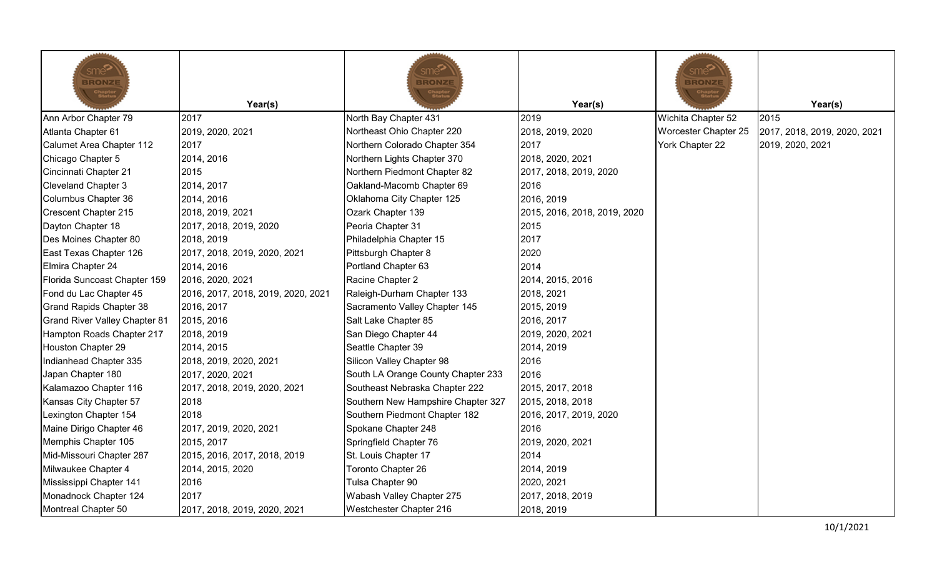| sme <sup>≫</sup><br><b>BRONZE</b><br>Chapter<br>Status | Year(s)                            | <u>sme<sup>&gt;</sup></u><br><b>BRONZE</b><br>Chapte<br>Statu | Year(s)                      | sme <b>∑</b><br><b>BRONZE</b><br>Chapt | Year(s)                      |
|--------------------------------------------------------|------------------------------------|---------------------------------------------------------------|------------------------------|----------------------------------------|------------------------------|
| Ann Arbor Chapter 79                                   | 2017                               | North Bay Chapter 431                                         | 2019                         | Wichita Chapter 52                     | 2015                         |
| Atlanta Chapter 61                                     | 2019, 2020, 2021                   | Northeast Ohio Chapter 220                                    | 2018, 2019, 2020             | Worcester Chapter 25                   | 2017, 2018, 2019, 2020, 2021 |
| Calumet Area Chapter 112                               | 2017                               | Northern Colorado Chapter 354                                 | 2017                         | York Chapter 22                        | 2019, 2020, 2021             |
| Chicago Chapter 5                                      | 2014, 2016                         | Northern Lights Chapter 370                                   | 2018, 2020, 2021             |                                        |                              |
| Cincinnati Chapter 21                                  | 2015                               | Northern Piedmont Chapter 82                                  | 2017, 2018, 2019, 2020       |                                        |                              |
| <b>Cleveland Chapter 3</b>                             | 2014, 2017                         | Oakland-Macomb Chapter 69                                     | 2016                         |                                        |                              |
| Columbus Chapter 36                                    | 2014, 2016                         | Oklahoma City Chapter 125                                     | 2016, 2019                   |                                        |                              |
| Crescent Chapter 215                                   | 2018, 2019, 2021                   | Ozark Chapter 139                                             | 2015, 2016, 2018, 2019, 2020 |                                        |                              |
| Dayton Chapter 18                                      | 2017, 2018, 2019, 2020             | Peoria Chapter 31                                             | 2015                         |                                        |                              |
| Des Moines Chapter 80                                  | 2018, 2019                         | Philadelphia Chapter 15                                       | 2017                         |                                        |                              |
| East Texas Chapter 126                                 | 2017, 2018, 2019, 2020, 2021       | Pittsburgh Chapter 8                                          | 2020                         |                                        |                              |
| Elmira Chapter 24                                      | 2014, 2016                         | Portland Chapter 63                                           | 2014                         |                                        |                              |
| Florida Suncoast Chapter 159                           | 2016, 2020, 2021                   | Racine Chapter 2                                              | 2014, 2015, 2016             |                                        |                              |
| Fond du Lac Chapter 45                                 | 2016, 2017, 2018, 2019, 2020, 2021 | Raleigh-Durham Chapter 133                                    | 2018, 2021                   |                                        |                              |
| Grand Rapids Chapter 38                                | 2016, 2017                         | Sacramento Valley Chapter 145                                 | 2015, 2019                   |                                        |                              |
| <b>Grand River Valley Chapter 81</b>                   | 2015, 2016                         | Salt Lake Chapter 85                                          | 2016, 2017                   |                                        |                              |
| Hampton Roads Chapter 217                              | 2018, 2019                         | San Diego Chapter 44                                          | 2019, 2020, 2021             |                                        |                              |
| Houston Chapter 29                                     | 2014, 2015                         | Seattle Chapter 39                                            | 2014, 2019                   |                                        |                              |
| Indianhead Chapter 335                                 | 2018, 2019, 2020, 2021             | Silicon Valley Chapter 98                                     | 2016                         |                                        |                              |
| Japan Chapter 180                                      | 2017, 2020, 2021                   | South LA Orange County Chapter 233                            | 2016                         |                                        |                              |
| Kalamazoo Chapter 116                                  | 2017, 2018, 2019, 2020, 2021       | Southeast Nebraska Chapter 222                                | 2015, 2017, 2018             |                                        |                              |
| Kansas City Chapter 57                                 | 2018                               | Southern New Hampshire Chapter 327                            | 2015, 2018, 2018             |                                        |                              |
| Lexington Chapter 154                                  | 2018                               | Southern Piedmont Chapter 182                                 | 2016, 2017, 2019, 2020       |                                        |                              |
| Maine Dirigo Chapter 46                                | 2017, 2019, 2020, 2021             | Spokane Chapter 248                                           | 2016                         |                                        |                              |
| Memphis Chapter 105                                    | 2015, 2017                         | Springfield Chapter 76                                        | 2019, 2020, 2021             |                                        |                              |
| Mid-Missouri Chapter 287                               | 2015, 2016, 2017, 2018, 2019       | St. Louis Chapter 17                                          | 2014                         |                                        |                              |
| Milwaukee Chapter 4                                    | 2014, 2015, 2020                   | Toronto Chapter 26                                            | 2014, 2019                   |                                        |                              |
| Mississippi Chapter 141                                | 2016                               | Tulsa Chapter 90                                              | 2020, 2021                   |                                        |                              |
| Monadnock Chapter 124                                  | 2017                               | Wabash Valley Chapter 275                                     | 2017, 2018, 2019             |                                        |                              |
| Montreal Chapter 50                                    | 2017, 2018, 2019, 2020, 2021       | Westchester Chapter 216                                       | 2018, 2019                   |                                        |                              |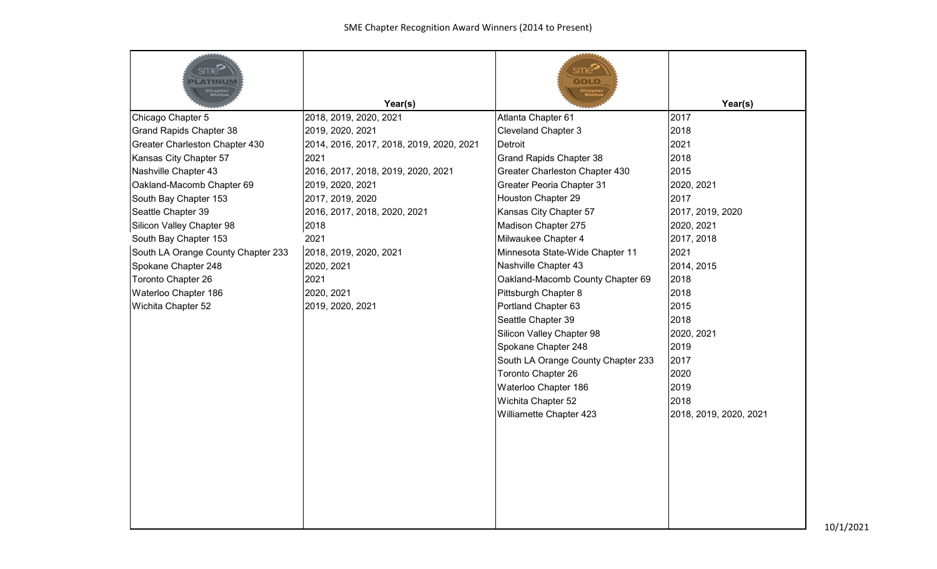| sme <sup>5</sup><br>LATINUM        |                                          | sme <b>ි</b><br>GOLD<br>Chapte<br>Statu |                        |
|------------------------------------|------------------------------------------|-----------------------------------------|------------------------|
|                                    | Year(s)                                  |                                         | Year(s)                |
| Chicago Chapter 5                  | 2018, 2019, 2020, 2021                   | Atlanta Chapter 61                      | 2017                   |
| <b>Grand Rapids Chapter 38</b>     | 2019, 2020, 2021                         | <b>Cleveland Chapter 3</b>              | 2018                   |
| Greater Charleston Chapter 430     | 2014, 2016, 2017, 2018, 2019, 2020, 2021 | Detroit                                 | 2021                   |
| Kansas City Chapter 57             | 2021                                     | <b>Grand Rapids Chapter 38</b>          | 2018                   |
| Nashville Chapter 43               | 2016, 2017, 2018, 2019, 2020, 2021       | Greater Charleston Chapter 430          | 2015                   |
| Oakland-Macomb Chapter 69          | 2019, 2020, 2021                         | Greater Peoria Chapter 31               | 2020, 2021             |
| South Bay Chapter 153              | 2017, 2019, 2020                         | Houston Chapter 29                      | 2017                   |
| Seattle Chapter 39                 | 2016, 2017, 2018, 2020, 2021             | Kansas City Chapter 57                  | 2017, 2019, 2020       |
| Silicon Valley Chapter 98          | 2018                                     | Madison Chapter 275                     | 2020, 2021             |
| South Bay Chapter 153              | 2021                                     | Milwaukee Chapter 4                     | 2017, 2018             |
| South LA Orange County Chapter 233 | 2018, 2019, 2020, 2021                   | Minnesota State-Wide Chapter 11         | 2021                   |
| Spokane Chapter 248                | 2020, 2021                               | Nashville Chapter 43                    | 2014, 2015             |
| Toronto Chapter 26                 | 2021                                     | Oakland-Macomb County Chapter 69        | 2018                   |
| Waterloo Chapter 186               | 2020, 2021                               | Pittsburgh Chapter 8                    | 2018                   |
| Wichita Chapter 52                 | 2019, 2020, 2021                         | Portland Chapter 63                     | 2015                   |
|                                    |                                          | Seattle Chapter 39                      | 2018                   |
|                                    |                                          | Silicon Valley Chapter 98               | 2020, 2021             |
|                                    |                                          | Spokane Chapter 248                     | 2019                   |
|                                    |                                          | South LA Orange County Chapter 233      | 2017                   |
|                                    |                                          | Toronto Chapter 26                      | 2020                   |
|                                    |                                          | Waterloo Chapter 186                    | 2019                   |
|                                    |                                          | Wichita Chapter 52                      | 2018                   |
|                                    |                                          | Williamette Chapter 423                 | 2018, 2019, 2020, 2021 |
|                                    |                                          |                                         |                        |
|                                    |                                          |                                         |                        |
|                                    |                                          |                                         |                        |
|                                    |                                          |                                         |                        |
|                                    |                                          |                                         |                        |
|                                    |                                          |                                         |                        |
|                                    |                                          |                                         |                        |
|                                    |                                          |                                         |                        |